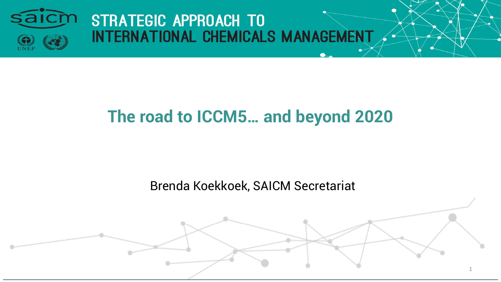

# **The road to ICCM5… and beyond 2020**

Brenda Koekkoek, SAICM Secretariat

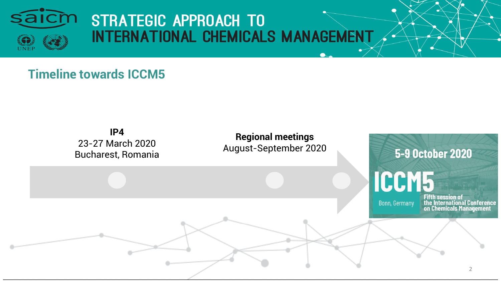

#### **Timeline towards ICCM5**

#### **IP4**  23-27 March 2020 Bucharest, Romania

**Regional meetings**  August-September 2020

**5-9 October 2020 ICCM5 Fifth session of** the International Conference<br>on Chemicals Management **Bonn, Germany**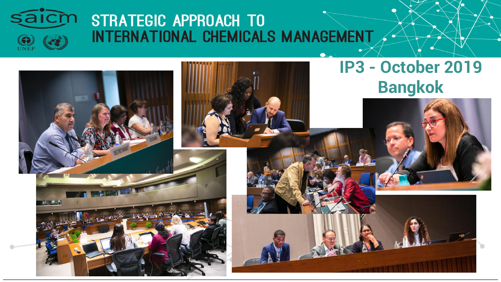

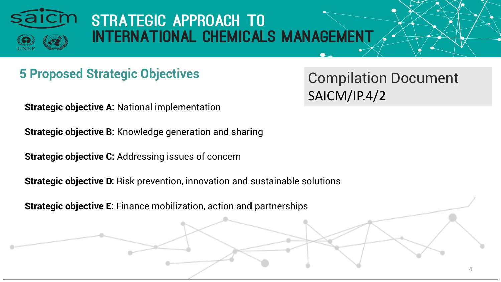

### **5 Proposed Strategic Objectives Compilation Document**

SAICM/IP.4/2

4

**Strategic objective A:** National implementation

**Strategic objective B:** Knowledge generation and sharing

**Strategic objective C:** Addressing issues of concern

**Strategic objective D:** Risk prevention, innovation and sustainable solutions

**Strategic objective E:** Finance mobilization, action and partnerships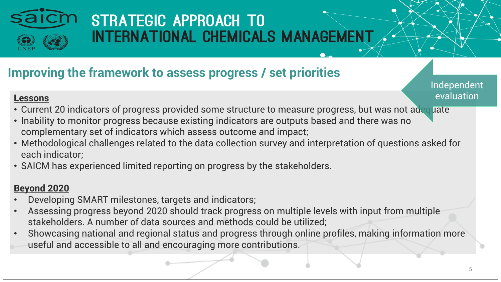

### **Improving the framework to assess progress / set priorities**

Independent evaluation

#### **Lessons**

- Current 20 indicators of progress provided some structure to measure progress, but was not adequate
- Inability to monitor progress because existing indicators are outputs based and there was no complementary set of indicators which assess outcome and impact;
- Methodological challenges related to the data collection survey and interpretation of questions asked for each indicator;
- SAICM has experienced limited reporting on progress by the stakeholders.

#### **Beyond 2020**

- Developing SMART milestones, targets and indicators;
- Assessing progress beyond 2020 should track progress on multiple levels with input from multiple stakeholders. A number of data sources and methods could be utilized;
- Showcasing national and regional status and progress through online profiles, making information more useful and accessible to all and encouraging more contributions.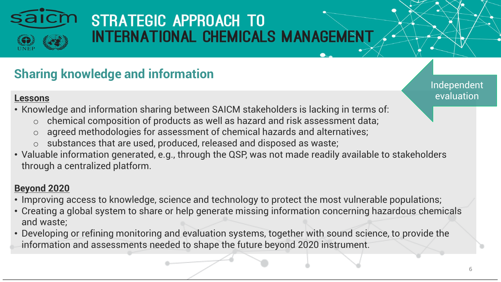

### **Sharing knowledge and information**

Independent evaluation

#### **Lessons**

- Knowledge and information sharing between SAICM stakeholders is lacking in terms of:
	- $\circ$  chemical composition of products as well as hazard and risk assessment data;
	- agreed methodologies for assessment of chemical hazards and alternatives;
	- o substances that are used, produced, released and disposed as waste;
- Valuable information generated, e.g., through the QSP, was not made readily available to stakeholders through a centralized platform.

#### **Beyond 2020**

- Improving access to knowledge, science and technology to protect the most vulnerable populations;
- Creating a global system to share or help generate missing information concerning hazardous chemicals and waste;
- Developing or refining monitoring and evaluation systems, together with sound science, to provide the information and assessments needed to shape the future beyond 2020 instrument.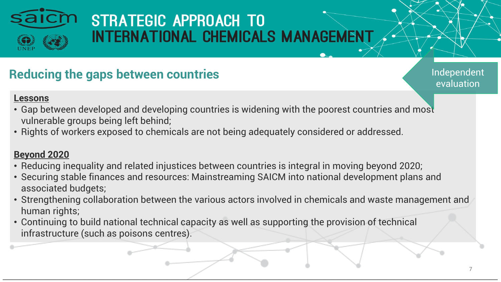

### **Reducing the gaps between countries**

Independent evaluation

#### **Lessons**

- Gap between developed and developing countries is widening with the poorest countries and most vulnerable groups being left behind;
- Rights of workers exposed to chemicals are not being adequately considered or addressed.

#### **Beyond 2020**

- Reducing inequality and related injustices between countries is integral in moving beyond 2020;
- Securing stable finances and resources: Mainstreaming SAICM into national development plans and associated budgets;
- Strengthening collaboration between the various actors involved in chemicals and waste management and human rights;
- Continuing to build national technical capacity as well as supporting the provision of technical infrastructure (such as poisons centres).